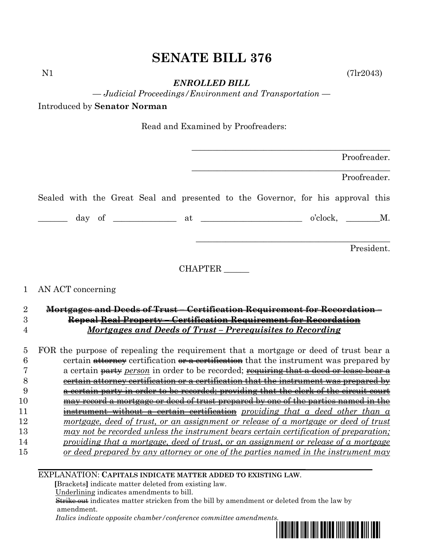## **SENATE BILL 376**

 $N1$  (7lr2043)

*ENROLLED BILL*

*— Judicial Proceedings/Environment and Transportation —*

Introduced by **Senator Norman**

Read and Examined by Proofreaders:

|                                                                                 |                |                  | Proofreader. |
|---------------------------------------------------------------------------------|----------------|------------------|--------------|
|                                                                                 |                |                  | Proofreader. |
| Sealed with the Great Seal and presented to the Governor, for his approval this |                |                  |              |
|                                                                                 |                | $o'clock, \t M.$ |              |
|                                                                                 |                |                  | President.   |
|                                                                                 | <b>CHAPTER</b> |                  |              |
| 1 AN ACT concerning                                                             |                |                  |              |

## 2 **Mortgages and Deeds of Trust – Certification Requirement for Recordation –** 3 **Repeal Real Property – Certification Requirement for Recordation** 4 *Mortgages and Deeds of Trust – Prerequisites to Recording*

 FOR the purpose of repealing the requirement that a mortgage or deed of trust bear a 6 certain  $\frac{atton}{\text{atton}}$  certification  $\frac{ar}{\text{at front}}$  that the instrument was prepared by a certain party *person* in order to be recorded; requiring that a deed or lease bear a certain attorney certification or a certification that the instrument was prepared by a certain party in order to be recorded; providing that the clerk of the circuit court may record a mortgage or deed of trust prepared by one of the parties named in the instrument without a certain certification *providing that a deed other than a mortgage, deed of trust, or an assignment or release of a mortgage or deed of trust may not be recorded unless the instrument bears certain certification of preparation; providing that a mortgage, deed of trust, or an assignment or release of a mortgage or deed prepared by any attorney or one of the parties named in the instrument may* 

EXPLANATION: **CAPITALS INDICATE MATTER ADDED TO EXISTING LAW**.

 **[**Brackets**]** indicate matter deleted from existing law.

Underlining indicates amendments to bill.

 Strike out indicates matter stricken from the bill by amendment or deleted from the law by amendment.

 *Italics indicate opposite chamber/conference committee amendments.*

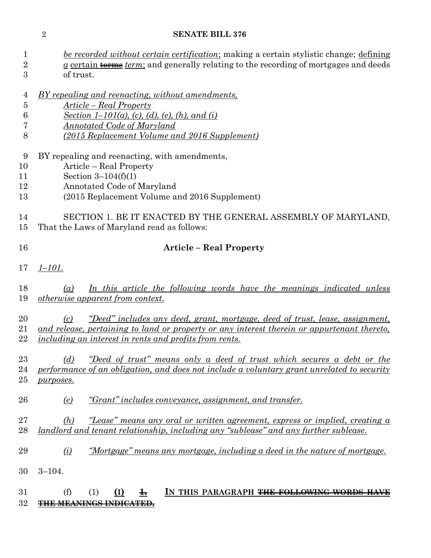## **SENATE BILL 376**

| 1<br>$\sqrt{2}$<br>3      | <u>be recorded without certain certification;</u> making a certain stylistic change; defining<br>$\alpha$ certain terms <i>term</i> ; and generally relating to the recording of mortgages and deeds<br>of trust.                                          |  |  |  |  |
|---------------------------|------------------------------------------------------------------------------------------------------------------------------------------------------------------------------------------------------------------------------------------------------------|--|--|--|--|
| 4<br>5<br>6<br>7<br>8     | BY repealing and reenacting, without amendments,<br>Article – Real Property<br><u>Section 1–101(a), (c), (d), (e), (h), and (i)</u><br><u>Annotated Code of Maryland</u><br><u>(2015 Replacement Volume and 2016 Supplement)</u>                           |  |  |  |  |
| 9<br>10<br>11<br>12<br>13 | BY repealing and reenacting, with amendments,<br>Article – Real Property<br>Section $3-104(f)(1)$<br>Annotated Code of Maryland<br>(2015 Replacement Volume and 2016 Supplement)                                                                           |  |  |  |  |
| 14<br>15                  | SECTION 1. BE IT ENACTED BY THE GENERAL ASSEMBLY OF MARYLAND,<br>That the Laws of Maryland read as follows:                                                                                                                                                |  |  |  |  |
| 16                        | <b>Article – Real Property</b>                                                                                                                                                                                                                             |  |  |  |  |
| 17                        | $1 - 101.$                                                                                                                                                                                                                                                 |  |  |  |  |
| 18<br>19                  | In this article the following words have the meanings indicated unless<br>$\left( a\right)$<br><i>otherwise apparent from context.</i>                                                                                                                     |  |  |  |  |
| 20<br>21<br>22            | <u>"Deed" includes any deed, grant, mortgage, deed of trust, lease, assignment,</u><br>(c)<br>and release, pertaining to land or property or any interest therein or appurtenant thereto,<br><i>including an interest in rents and profits from rents.</i> |  |  |  |  |
| 23<br>24<br>25            | "Deed of trust" means only a deed of trust which secures a debt or the<br>(d)<br>performance of an obligation, and does not include a voluntary grant unrelated to security<br>purposes.                                                                   |  |  |  |  |
| 26                        | "Grant" includes conveyance, assignment, and transfer.<br><u>(e)</u>                                                                                                                                                                                       |  |  |  |  |
| 27<br>28                  | <u>"Lease" means any oral or written agreement, express or implied, creating a</u><br>(h)<br><u>landlord and tenant relationship, including any "sublease" and any further sublease.</u>                                                                   |  |  |  |  |
| 29                        | <u>"Mortgage" means any mortgage, including a deed in the nature of mortgage.</u><br>$\Omega$                                                                                                                                                              |  |  |  |  |
| 30                        | $3 - 104.$                                                                                                                                                                                                                                                 |  |  |  |  |
| 31<br>32                  | (f)<br>IN THIS PARAGRAPH <del>THE FOLLOWING WORDS</del><br>(I)<br>$\pm$<br>(1)                                                                                                                                                                             |  |  |  |  |